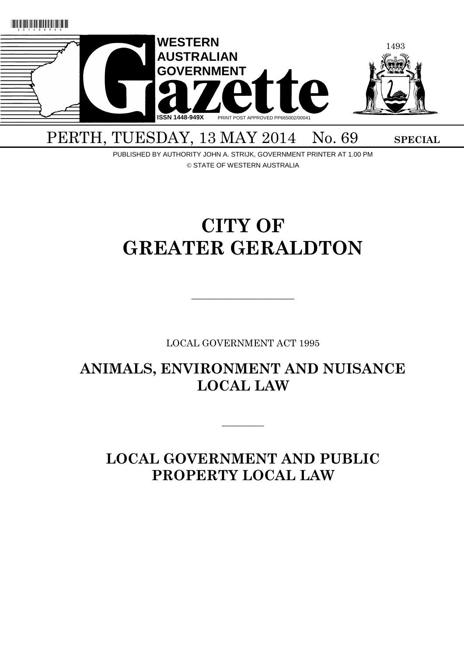

# PERTH, TUESDAY, 13 MAY 2014 No. 69 SPECIAL

PUBLISHED BY AUTHORITY JOHN A. STRIJK, GOVERNMENT PRINTER AT 1.00 PM © STATE OF WESTERN AUSTRALIA

# **CITY OF GREATER GERALDTON**

LOCAL GOVERNMENT ACT 1995

 $\overline{\phantom{a}}$  , and the contract of  $\overline{\phantom{a}}$ 

**ANIMALS, ENVIRONMENT AND NUISANCE LOCAL LAW**

 $\overline{\phantom{a}}$ 

**LOCAL GOVERNMENT AND PUBLIC PROPERTY LOCAL LAW**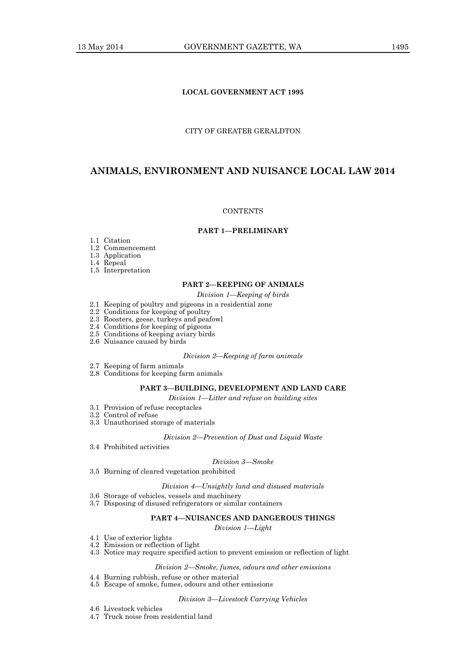# **LOCAL GOVERNMENT ACT 1995**

# CITY OF GREATER GERALDTON

# **ANIMALS, ENVIRONMENT AND NUISANCE LOCAL LAW 2014**

#### **CONTENTS**

# **PART 1—PRELIMINARY**

- 1.1 Citation
- 1.2 Commencement
- 1.3 Application
- 1.4 Repeal
- 1.5 Interpretation

# **PART 2—KEEPING OF ANIMALS**

*Division 1—Keeping of birds*

- 2.1 Keeping of poultry and pigeons in a residential zone
- 2.2 Conditions for keeping of poultry
- 2.3 Roosters, geese, turkeys and peafowl
- 2.4 Conditions for keeping of pigeons
- 2.5 Conditions of keeping aviary birds
- 2.6 Nuisance caused by birds

#### *Division 2—Keeping of farm animals*

- 2.7 Keeping of farm animals
- 2.8 Conditions for keeping farm animals

#### **PART 3—BUILDING, DEVELOPMENT AND LAND CARE**

*Division 1—Litter and refuse on building sites*

- 3.1 Provision of refuse receptacles
- 3.2 Control of refuse
- 3.3 Unauthorised storage of materials

#### *Division 2—Prevention of Dust and Liquid Waste*

3.4 Prohibited activities

#### *Division 3—Smoke*

3.5 Burning of cleared vegetation prohibited

#### *Division 4—Unsightly land and disused materials*

- 3.6 Storage of vehicles, vessels and machinery
- 3.7 Disposing of disused refrigerators or similar containers

#### **PART 4—NUISANCES AND DANGEROUS THINGS**

*Division 1—Light*

- 4.1 Use of exterior lights
- 4.2 Emission or reflection of light
- 4.3 Notice may require specified action to prevent emission or reflection of light

#### *Division 2—Smoke, fumes, odours and other emissions*

- 4.4 Burning rubbish, refuse or other material
- 4.5 Escape of smoke, fumes, odours and other emissions

#### *Division 3—Livestock Carrying Vehicles*

- 4.6 Livestock vehicles
- 4.7 Truck noise from residential land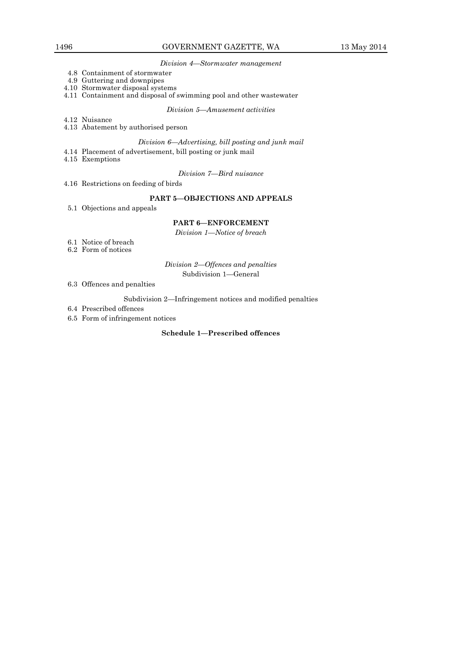#### *Division 4—Stormwater management*

- 4.8 Containment of stormwater
- 4.9 Guttering and downpipes
- 4.10 Stormwater disposal systems
- 4.11 Containment and disposal of swimming pool and other wastewater

*Division 5—Amusement activities*

- 4.12 Nuisance
- 4.13 Abatement by authorised person

# *Division 6—Advertising, bill posting and junk mail*

- 4.14 Placement of advertisement, bill posting or junk mail
- 4.15 Exemptions

*Division 7—Bird nuisance*

4.16 Restrictions on feeding of birds

#### **PART 5—OBJECTIONS AND APPEALS**

5.1 Objections and appeals

#### **PART 6—ENFORCEMENT**

*Division 1—Notice of breach*

- 6.1 Notice of breach
- 6.2 Form of notices

*Division 2—Offences and penalties*

Subdivision 1—General

6.3 Offences and penalties

Subdivision 2—Infringement notices and modified penalties

- 6.4 Prescribed offences
- 6.5 Form of infringement notices

# **Schedule 1—Prescribed offences**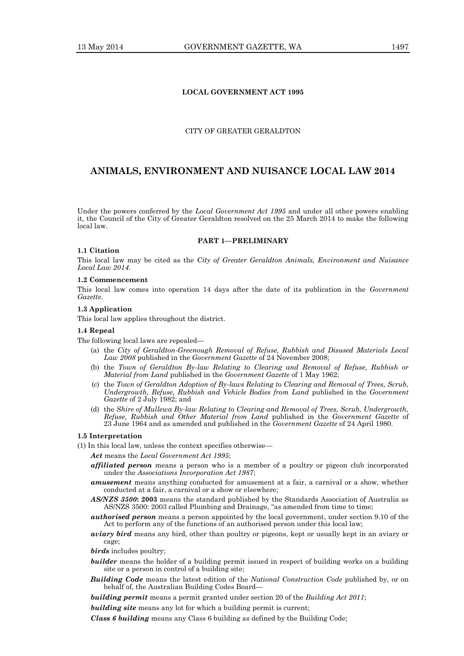# **LOCAL GOVERNMENT ACT 1995**

# CITY OF GREATER GERALDTON

# **ANIMALS, ENVIRONMENT AND NUISANCE LOCAL LAW 2014**

Under the powers conferred by the *Local Government Act 1995* and under all other powers enabling it, the Council of the City of Greater Geraldton resolved on the 25 March 2014 to make the following local law.

#### **PART 1—PRELIMINARY**

#### **1.1 Citation**

This local law may be cited as the *City of Greater Geraldton Animals, Environment and Nuisance Local Law 2014*.

#### **1.2 Commencement**

This local law comes into operation 14 days after the date of its publication in the *Government Gazette*.

#### **1.3 Application**

This local law applies throughout the district.

# **1.4 Repeal**

The following local laws are repealed—

- (a) the *City of Geraldton-Greenough Removal of Refuse, Rubbish and Disused Materials Local Law 2008* published in the *Government Gazette* of 24 November 2008;
- (b) the *Town of Geraldton By-law Relating to Clearing and Removal of Refuse, Rubbish or Material from Land* published in the *Government Gazette* of 1 May 1962;
- (c) the *Town of Geraldton Adoption of By-laws Relating to Clearing and Removal of Trees, Scrub, Undergrowth, Refuse, Rubbish and Vehicle Bodies from Land* published in the *Government Gazette* of 2 July 1982; and
- (d) the *Shire of Mullewa By-law Relating to Clearing and Removal of Trees, Scrub, Undergrowth, Refuse, Rubbish and Other Material from Land* published in the *Government Gazette* of 23 June 1964 and as amended and published in the *Government Gazette* of 24 April 1980.

#### **1.5 Interpretation**

- (1) In this local law, unless the context specifies otherwise—
	- *Act* means the *Local Government Act 1995*;
	- *affiliated person* means a person who is a member of a poultry or pigeon club incorporated under the *Associations Incorporation Act 1987*;
	- *amusement* means anything conducted for amusement at a fair, a carnival or a show, whether conducted at a fair, a carnival or a show or elsewhere;
	- *AS/NZS 3500***: 2003** means the standard published by the Standards Association of Australia as AS/NZS 3500: 2003 called Plumbing and Drainage, "as amended from time to time;
	- *authorised person* means a person appointed by the local government, under section 9.10 of the Act to perform any of the functions of an authorised person under this local law;
	- *aviary bird* means any bird, other than poultry or pigeons, kept or usually kept in an aviary or cage;
	- *birds* includes poultry;
	- *builder* means the holder of a building permit issued in respect of building works on a building site or a person in control of a building site;
	- *Building Code* means the latest edition of the *National Construction Code* published by, or on behalf of, the Australian Building Codes Board—

*building permit* means a permit granted under section 20 of the *Building Act 2011*;

*building site* means any lot for which a building permit is current;

*Class 6 building* means any Class 6 building as defined by the Building Code;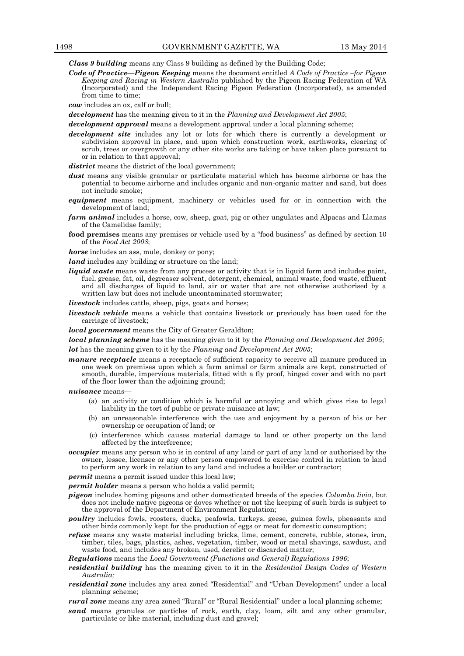*Class 9 building* means any Class 9 building as defined by the Building Code;

*Code of Practice—Pigeon Keeping* means the document entitled *A Code of Practice –for Pigeon Keeping and Racing in Western Australia* published by the Pigeon Racing Federation of WA (Incorporated) and the Independent Racing Pigeon Federation (Incorporated), as amended from time to time;

*cow* includes an ox, calf or bull;

*development* has the meaning given to it in the *Planning and Development Act 2005*;

*development approval* means a development approval under a local planning scheme;

- *development site* includes any lot or lots for which there is currently a development or subdivision approval in place, and upon which construction work, earthworks, clearing of scrub, trees or overgrowth or any other site works are taking or have taken place pursuant to or in relation to that approval;
- *district* means the district of the local government;
- *dust* means any visible granular or particulate material which has become airborne or has the potential to become airborne and includes organic and non-organic matter and sand, but does not include smoke;
- *equipment* means equipment, machinery or vehicles used for or in connection with the development of land;
- *farm animal* includes a horse, cow, sheep, goat, pig or other ungulates and Alpacas and Llamas of the Camelidae family;
- **food premises** means any premises or vehicle used by a "food business" as defined by section 10 of the *Food Act 2008*;

*horse* includes an ass, mule, donkey or pony;

*land* includes any building or structure on the land;

*liquid waste* means waste from any process or activity that is in liquid form and includes paint, fuel, grease, fat, oil, degreaser solvent, detergent, chemical, animal waste, food waste, effluent and all discharges of liquid to land, air or water that are not otherwise authorised by a written law but does not include uncontaminated stormwater;

*livestock* includes cattle, sheep, pigs, goats and horses;

*livestock vehicle* means a vehicle that contains livestock or previously has been used for the carriage of livestock;

*local government* means the City of Greater Geraldton;

*local planning scheme* has the meaning given to it by the *Planning and Development Act 2005*; *lot* has the meaning given to it by the *Planning and Development Act 2005*;

*manure receptacle* means a receptacle of sufficient capacity to receive all manure produced in one week on premises upon which a farm animal or farm animals are kept, constructed of smooth, durable, impervious materials, fitted with a fly proof, hinged cover and with no part of the floor lower than the adjoining ground;

*nuisance* means—

- (a) an activity or condition which is harmful or annoying and which gives rise to legal liability in the tort of public or private nuisance at law;
- (b) an unreasonable interference with the use and enjoyment by a person of his or her ownership or occupation of land; or
- (c) interference which causes material damage to land or other property on the land affected by the interference;
- *occupier* means any person who is in control of any land or part of any land or authorised by the owner, lessee, licensee or any other person empowered to exercise control in relation to land to perform any work in relation to any land and includes a builder or contractor;
- 

*permit* means a permit issued under this local law;

*permit holder* means a person who holds a valid permit;

- *pigeon* includes homing pigeons and other domesticated breeds of the species *Columba livia*, but does not include native pigeons or doves whether or not the keeping of such birds is subject to the approval of the Department of Environment Regulation;
- *poultry* includes fowls, roosters, ducks, peafowls, turkeys, geese, guinea fowls, pheasants and other birds commonly kept for the production of eggs or meat for domestic consumption;
- *refuse* means any waste material including bricks, lime, cement, concrete, rubble, stones, iron, timber, tiles, bags, plastics, ashes, vegetation, timber, wood or metal shavings, sawdust, and waste food, and includes any broken, used, derelict or discarded matter;

*Regulations* means the *Local Government (Functions and General) Regulations 1996*;

- *residential building* has the meaning given to it in the *Residential Design Codes of Western Australia;*
- *residential zone* includes any area zoned "Residential" and "Urban Development" under a local planning scheme;
- *rural zone* means any area zoned "Rural" or "Rural Residential" under a local planning scheme;
- *sand* means granules or particles of rock, earth, clay, loam, silt and any other granular, particulate or like material, including dust and gravel;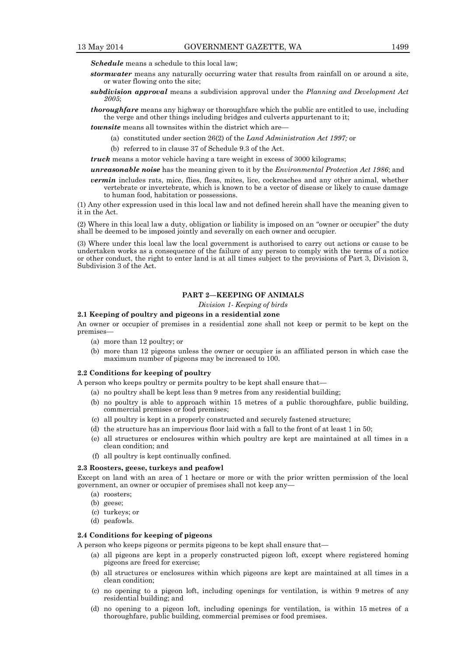*Schedule* means a schedule to this local law;

- *stormwater* means any naturally occurring water that results from rainfall on or around a site, or water flowing onto the site;
- *subdivision approval* means a subdivision approval under the *Planning and Development Act 2005*;
- *thoroughfare* means any highway or thoroughfare which the public are entitled to use, including the verge and other things including bridges and culverts appurtenant to it;

*townsite* means all townsites within the district which are-

- (a) constituted under section 26(2) of the *Land Administration Act 1997;* or
- (b) referred to in clause 37 of Schedule 9.3 of the Act.

*truck* means a motor vehicle having a tare weight in excess of 3000 kilograms;

*unreasonable noise* has the meaning given to it by the *Environmental Protection Act 1986*; and

*vermin* includes rats, mice, flies, fleas, mites, lice, cockroaches and any other animal, whether vertebrate or invertebrate, which is known to be a vector of disease or likely to cause damage to human food, habitation or possessions.

(1) Any other expression used in this local law and not defined herein shall have the meaning given to it in the Act.

(2) Where in this local law a duty, obligation or liability is imposed on an "owner or occupier" the duty shall be deemed to be imposed jointly and severally on each owner and occupier.

(3) Where under this local law the local government is authorised to carry out actions or cause to be undertaken works as a consequence of the failure of any person to comply with the terms of a notice or other conduct, the right to enter land is at all times subject to the provisions of Part 3, Division 3, Subdivision 3 of the Act.

# **PART 2—KEEPING OF ANIMALS**

*Division 1- Keeping of birds*

#### **2.1 Keeping of poultry and pigeons in a residential zone**

An owner or occupier of premises in a residential zone shall not keep or permit to be kept on the premises—

- (a) more than 12 poultry; or
- (b) more than 12 pigeons unless the owner or occupier is an affiliated person in which case the maximum number of pigeons may be increased to 100.

#### **2.2 Conditions for keeping of poultry**

A person who keeps poultry or permits poultry to be kept shall ensure that—

- (a) no poultry shall be kept less than 9 metres from any residential building;
- (b) no poultry is able to approach within 15 metres of a public thoroughfare, public building, commercial premises or food premises;
- (c) all poultry is kept in a properly constructed and securely fastened structure;
- (d) the structure has an impervious floor laid with a fall to the front of at least 1 in 50;
- (e) all structures or enclosures within which poultry are kept are maintained at all times in a clean condition; and
- (f) all poultry is kept continually confined.

#### **2.3 Roosters, geese, turkeys and peafowl**

Except on land with an area of 1 hectare or more or with the prior written permission of the local government, an owner or occupier of premises shall not keep any—

- (a) roosters;
- (b) geese;
- (c) turkeys; or
- (d) peafowls.

#### **2.4 Conditions for keeping of pigeons**

A person who keeps pigeons or permits pigeons to be kept shall ensure that—

- (a) all pigeons are kept in a properly constructed pigeon loft, except where registered homing pigeons are freed for exercise;
- (b) all structures or enclosures within which pigeons are kept are maintained at all times in a clean condition;
- (c) no opening to a pigeon loft, including openings for ventilation, is within 9 metres of any residential building; and
- (d) no opening to a pigeon loft, including openings for ventilation, is within 15 metres of a thoroughfare, public building, commercial premises or food premises.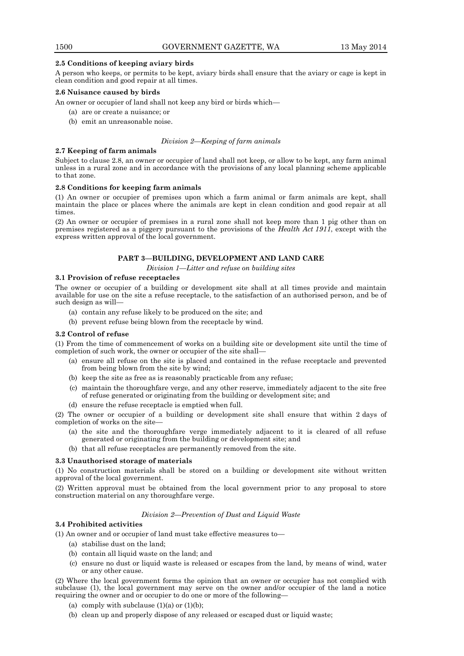# **2.5 Conditions of keeping aviary birds**

A person who keeps, or permits to be kept, aviary birds shall ensure that the aviary or cage is kept in clean condition and good repair at all times.

# **2.6 Nuisance caused by birds**

An owner or occupier of land shall not keep any bird or birds which—

- (a) are or create a nuisance; or
- (b) emit an unreasonable noise.

#### *Division 2—Keeping of farm animals*

# **2.7 Keeping of farm animals**

Subject to clause 2.8, an owner or occupier of land shall not keep, or allow to be kept, any farm animal unless in a rural zone and in accordance with the provisions of any local planning scheme applicable to that zone.

#### **2.8 Conditions for keeping farm animals**

(1) An owner or occupier of premises upon which a farm animal or farm animals are kept, shall maintain the place or places where the animals are kept in clean condition and good repair at all times.

(2) An owner or occupier of premises in a rural zone shall not keep more than 1 pig other than on premises registered as a piggery pursuant to the provisions of the *Health Act 1911*, except with the express written approval of the local government.

# **PART 3—BUILDING, DEVELOPMENT AND LAND CARE**

*Division 1—Litter and refuse on building sites*

#### **3.1 Provision of refuse receptacles**

The owner or occupier of a building or development site shall at all times provide and maintain available for use on the site a refuse receptacle, to the satisfaction of an authorised person, and be of such design as will—

- (a) contain any refuse likely to be produced on the site; and
- (b) prevent refuse being blown from the receptacle by wind.

# **3.2 Control of refuse**

(1) From the time of commencement of works on a building site or development site until the time of completion of such work, the owner or occupier of the site shall—

- (a) ensure all refuse on the site is placed and contained in the refuse receptacle and prevented from being blown from the site by wind;
- (b) keep the site as free as is reasonably practicable from any refuse;
- (c) maintain the thoroughfare verge, and any other reserve, immediately adjacent to the site free of refuse generated or originating from the building or development site; and
- (d) ensure the refuse receptacle is emptied when full.

(2) The owner or occupier of a building or development site shall ensure that within 2 days of completion of works on the site—

- (a) the site and the thoroughfare verge immediately adjacent to it is cleared of all refuse generated or originating from the building or development site; and
- (b) that all refuse receptacles are permanently removed from the site.

#### **3.3 Unauthorised storage of materials**

(1) No construction materials shall be stored on a building or development site without written approval of the local government.

(2) Written approval must be obtained from the local government prior to any proposal to store construction material on any thoroughfare verge.

#### *Division 2—Prevention of Dust and Liquid Waste*

# **3.4 Prohibited activities**

(1) An owner and or occupier of land must take effective measures to—

- (a) stabilise dust on the land;
- (b) contain all liquid waste on the land; and
- (c) ensure no dust or liquid waste is released or escapes from the land, by means of wind, water or any other cause.

(2) Where the local government forms the opinion that an owner or occupier has not complied with subclause (1), the local government may serve on the owner and/or occupier of the land a notice requiring the owner and or occupier to do one or more of the following—

- (a) comply with subclause  $(1)(a)$  or  $(1)(b)$ ;
- (b) clean up and properly dispose of any released or escaped dust or liquid waste;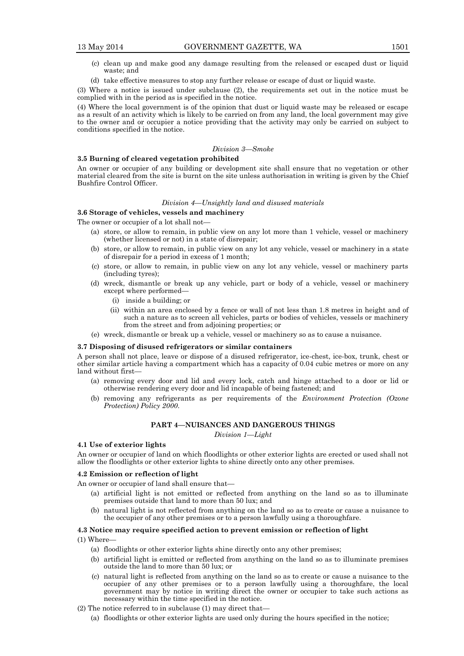- (c) clean up and make good any damage resulting from the released or escaped dust or liquid waste; and
- (d) take effective measures to stop any further release or escape of dust or liquid waste.

(3) Where a notice is issued under subclause (2), the requirements set out in the notice must be complied with in the period as is specified in the notice.

(4) Where the local government is of the opinion that dust or liquid waste may be released or escape as a result of an activity which is likely to be carried on from any land, the local government may give to the owner and or occupier a notice providing that the activity may only be carried on subject to conditions specified in the notice.

#### *Division 3—Smoke*

#### **3.5 Burning of cleared vegetation prohibited**

An owner or occupier of any building or development site shall ensure that no vegetation or other material cleared from the site is burnt on the site unless authorisation in writing is given by the Chief Bushfire Control Officer.

#### *Division 4—Unsightly land and disused materials*

# **3.6 Storage of vehicles, vessels and machinery**

The owner or occupier of a lot shall not—

- (a) store, or allow to remain, in public view on any lot more than 1 vehicle, vessel or machinery (whether licensed or not) in a state of disrepair;
- (b) store, or allow to remain, in public view on any lot any vehicle, vessel or machinery in a state of disrepair for a period in excess of 1 month;
- (c) store, or allow to remain, in public view on any lot any vehicle, vessel or machinery parts (including tyres);
- (d) wreck, dismantle or break up any vehicle, part or body of a vehicle, vessel or machinery except where performed—
	- (i) inside a building; or
	- (ii) within an area enclosed by a fence or wall of not less than 1.8 metres in height and of such a nature as to screen all vehicles, parts or bodies of vehicles, vessels or machinery from the street and from adjoining properties; or
- (e) wreck, dismantle or break up a vehicle, vessel or machinery so as to cause a nuisance.

#### **3.7 Disposing of disused refrigerators or similar containers**

A person shall not place, leave or dispose of a disused refrigerator, ice-chest, ice-box, trunk, chest or other similar article having a compartment which has a capacity of 0.04 cubic metres or more on any land without first—

- (a) removing every door and lid and every lock, catch and hinge attached to a door or lid or otherwise rendering every door and lid incapable of being fastened; and
- (b) removing any refrigerants as per requirements of the *Environment Protection (Ozone Protection) Policy 2000*.

# **PART 4—NUISANCES AND DANGEROUS THINGS**

*Division 1—Light*

#### **4.1 Use of exterior lights**

An owner or occupier of land on which floodlights or other exterior lights are erected or used shall not allow the floodlights or other exterior lights to shine directly onto any other premises.

#### **4.2 Emission or reflection of light**

An owner or occupier of land shall ensure that—

- (a) artificial light is not emitted or reflected from anything on the land so as to illuminate premises outside that land to more than 50 lux; and
- (b) natural light is not reflected from anything on the land so as to create or cause a nuisance to the occupier of any other premises or to a person lawfully using a thoroughfare.

#### **4.3 Notice may require specified action to prevent emission or reflection of light**

(1) Where—

- (a) floodlights or other exterior lights shine directly onto any other premises;
- (b) artificial light is emitted or reflected from anything on the land so as to illuminate premises outside the land to more than 50 lux; or
- (c) natural light is reflected from anything on the land so as to create or cause a nuisance to the occupier of any other premises or to a person lawfully using a thoroughfare, the local government may by notice in writing direct the owner or occupier to take such actions as necessary within the time specified in the notice.
- (2) The notice referred to in subclause (1) may direct that—
	- (a) floodlights or other exterior lights are used only during the hours specified in the notice;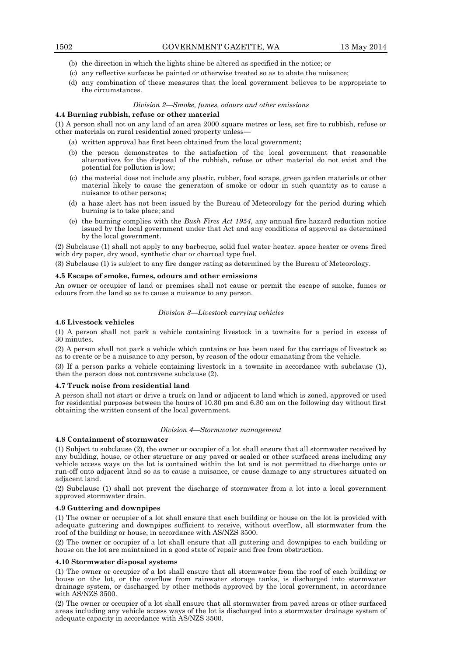- (b) the direction in which the lights shine be altered as specified in the notice; or
- (c) any reflective surfaces be painted or otherwise treated so as to abate the nuisance;
- (d) any combination of these measures that the local government believes to be appropriate to the circumstances.

#### *Division 2—Smoke, fumes, odours and other emissions*

#### **4.4 Burning rubbish, refuse or other material**

(1) A person shall not on any land of an area 2000 square metres or less, set fire to rubbish, refuse or other materials on rural residential zoned property unless—

- (a) written approval has first been obtained from the local government;
- (b) the person demonstrates to the satisfaction of the local government that reasonable alternatives for the disposal of the rubbish, refuse or other material do not exist and the potential for pollution is low;
- (c) the material does not include any plastic, rubber, food scraps, green garden materials or other material likely to cause the generation of smoke or odour in such quantity as to cause a nuisance to other persons;
- (d) a haze alert has not been issued by the Bureau of Meteorology for the period during which burning is to take place; and
- (e) the burning complies with the *Bush Fires Act 1954*, any annual fire hazard reduction notice issued by the local government under that Act and any conditions of approval as determined by the local government.

(2) Subclause (1) shall not apply to any barbeque, solid fuel water heater, space heater or ovens fired with dry paper, dry wood, synthetic char or charcoal type fuel.

(3) Subclause (1) is subject to any fire danger rating as determined by the Bureau of Meteorology.

#### **4.5 Escape of smoke, fumes, odours and other emissions**

An owner or occupier of land or premises shall not cause or permit the escape of smoke, fumes or odours from the land so as to cause a nuisance to any person.

#### *Division 3—Livestock carrying vehicles*

#### **4.6 Livestock vehicles**

(1) A person shall not park a vehicle containing livestock in a townsite for a period in excess of 30 minutes.

(2) A person shall not park a vehicle which contains or has been used for the carriage of livestock so as to create or be a nuisance to any person, by reason of the odour emanating from the vehicle.

(3) If a person parks a vehicle containing livestock in a townsite in accordance with subclause (1), then the person does not contravene subclause (2).

#### **4.7 Truck noise from residential land**

A person shall not start or drive a truck on land or adjacent to land which is zoned, approved or used for residential purposes between the hours of 10.30 pm and 6.30 am on the following day without first obtaining the written consent of the local government.

#### *Division 4—Stormwater management*

# **4.8 Containment of stormwater**

(1) Subject to subclause (2), the owner or occupier of a lot shall ensure that all stormwater received by any building, house, or other structure or any paved or sealed or other surfaced areas including any vehicle access ways on the lot is contained within the lot and is not permitted to discharge onto or run-off onto adjacent land so as to cause a nuisance, or cause damage to any structures situated on adjacent land.

(2) Subclause (1) shall not prevent the discharge of stormwater from a lot into a local government approved stormwater drain.

#### **4.9 Guttering and downpipes**

(1) The owner or occupier of a lot shall ensure that each building or house on the lot is provided with adequate guttering and downpipes sufficient to receive, without overflow, all stormwater from the roof of the building or house, in accordance with AS/NZS 3500.

(2) The owner or occupier of a lot shall ensure that all guttering and downpipes to each building or house on the lot are maintained in a good state of repair and free from obstruction.

#### **4.10 Stormwater disposal systems**

(1) The owner or occupier of a lot shall ensure that all stormwater from the roof of each building or house on the lot, or the overflow from rainwater storage tanks, is discharged into stormwater drainage system, or discharged by other methods approved by the local government, in accordance with AS/NZS 3500.

(2) The owner or occupier of a lot shall ensure that all stormwater from paved areas or other surfaced areas including any vehicle access ways of the lot is discharged into a stormwater drainage system of adequate capacity in accordance with AS/NZS 3500.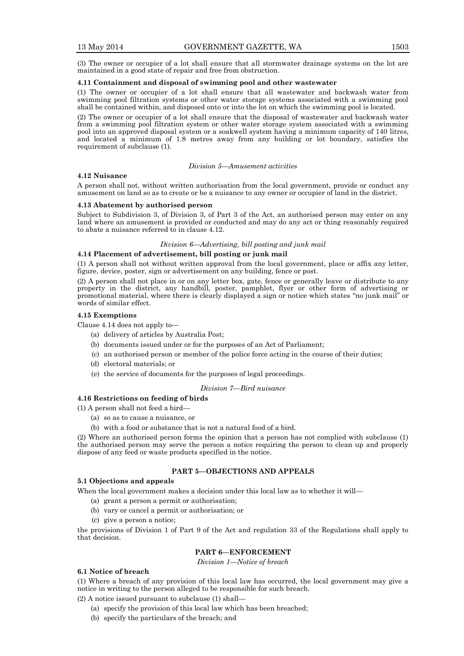(3) The owner or occupier of a lot shall ensure that all stormwater drainage systems on the lot are maintained in a good state of repair and free from obstruction.

#### **4.11 Containment and disposal of swimming pool and other wastewater**

(1) The owner or occupier of a lot shall ensure that all wastewater and backwash water from swimming pool filtration systems or other water storage systems associated with a swimming pool shall be contained within, and disposed onto or into the lot on which the swimming pool is located.

(2) The owner or occupier of a lot shall ensure that the disposal of wastewater and backwash water from a swimming pool filtration system or other water storage system associated with a swimming pool into an approved disposal system or a soakwell system having a minimum capacity of 140 litres, and located a minimum of 1.8 metres away from any building or lot boundary, satisfies the requirement of subclause (1).

#### *Division 5—Amusement activities*

#### **4.12 Nuisance**

A person shall not, without written authorisation from the local government, provide or conduct any amusement on land so as to create or be a nuisance to any owner or occupier of land in the district.

# **4.13 Abatement by authorised person**

Subject to Subdivision 3, of Division 3, of Part 3 of the Act, an authorised person may enter on any land where an amusement is provided or conducted and may do any act or thing reasonably required to abate a nuisance referred to in clause 4.12.

# *Division 6—Advertising, bill posting and junk mail*

#### **4.14 Placement of advertisement, bill posting or junk mail**

(1) A person shall not without written approval from the local government, place or affix any letter, figure, device, poster, sign or advertisement on any building, fence or post.

(2) A person shall not place in or on any letter box, gate, fence or generally leave or distribute to any property in the district, any handbill, poster, pamphlet, flyer or other form of advertising or promotional material, where there is clearly displayed a sign or notice which states "no junk mail" or words of similar effect.

#### **4.15 Exemptions**

Clause 4.14 does not apply to—

- (a) delivery of articles by Australia Post;
- (b) documents issued under or for the purposes of an Act of Parliament;
- (c) an authorised person or member of the police force acting in the course of their duties;
- (d) electoral materials; or
- (e) the service of documents for the purposes of legal proceedings.

# *Division 7—Bird nuisance*

# **4.16 Restrictions on feeding of birds**

(1) A person shall not feed a bird—

- (a) so as to cause a nuisance, or
- (b) with a food or substance that is not a natural food of a bird.

(2) Where an authorised person forms the opinion that a person has not complied with subclause (1) the authorised person may serve the person a notice requiring the person to clean up and properly dispose of any feed or waste products specified in the notice.

# **PART 5—OBJECTIONS AND APPEALS**

# **5.1 Objections and appeals**

When the local government makes a decision under this local law as to whether it will—

- (a) grant a person a permit or authorisation;
- (b) vary or cancel a permit or authorisation; or
- (c) give a person a notice;

the provisions of Division 1 of Part 9 of the Act and regulation 33 of the Regulations shall apply to that decision.

### **PART 6—ENFORCEMENT**

*Division 1—Notice of breach*

#### **6.1 Notice of breach**

(1) Where a breach of any provision of this local law has occurred, the local government may give a notice in writing to the person alleged to be responsible for such breach.

- (2) A notice issued pursuant to subclause (1) shall—
	- (a) specify the provision of this local law which has been breached;
	- (b) specify the particulars of the breach; and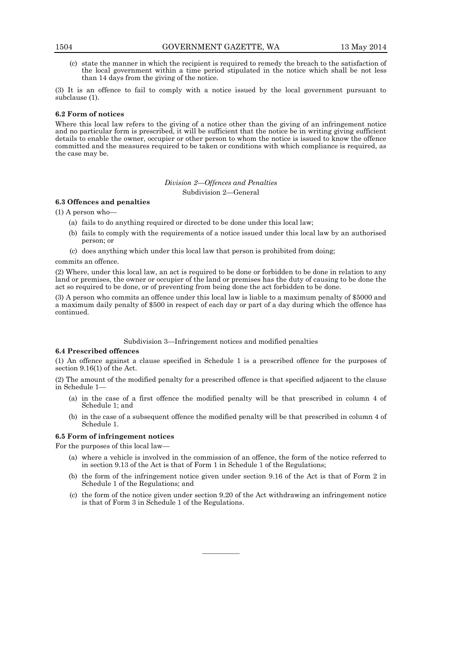(c) state the manner in which the recipient is required to remedy the breach to the satisfaction of the local government within a time period stipulated in the notice which shall be not less than 14 days from the giving of the notice.

(3) It is an offence to fail to comply with a notice issued by the local government pursuant to subclause (1).

# **6.2 Form of notices**

Where this local law refers to the giving of a notice other than the giving of an infringement notice and no particular form is prescribed, it will be sufficient that the notice be in writing giving sufficient details to enable the owner, occupier or other person to whom the notice is issued to know the offence committed and the measures required to be taken or conditions with which compliance is required, as the case may be.

> *Division 2—Offences and Penalties* Subdivision 2—General

#### **6.3 Offences and penalties**

(1) A person who—

- (a) fails to do anything required or directed to be done under this local law;
- (b) fails to comply with the requirements of a notice issued under this local law by an authorised person; or
- (c) does anything which under this local law that person is prohibited from doing;

commits an offence.

(2) Where, under this local law, an act is required to be done or forbidden to be done in relation to any land or premises, the owner or occupier of the land or premises has the duty of causing to be done the act so required to be done, or of preventing from being done the act forbidden to be done.

(3) A person who commits an offence under this local law is liable to a maximum penalty of \$5000 and a maximum daily penalty of \$500 in respect of each day or part of a day during which the offence has continued.

Subdivision 3—Infringement notices and modified penalties

#### **6.4 Prescribed offences**

(1) An offence against a clause specified in Schedule 1 is a prescribed offence for the purposes of section 9.16(1) of the Act.

(2) The amount of the modified penalty for a prescribed offence is that specified adjacent to the clause in Schedule 1—

- (a) in the case of a first offence the modified penalty will be that prescribed in column 4 of Schedule 1; and
- (b) in the case of a subsequent offence the modified penalty will be that prescribed in column 4 of Schedule 1.

### **6.5 Form of infringement notices**

For the purposes of this local law—

- (a) where a vehicle is involved in the commission of an offence, the form of the notice referred to in section 9.13 of the Act is that of Form 1 in Schedule 1 of the Regulations;
- (b) the form of the infringement notice given under section 9.16 of the Act is that of Form 2 in Schedule 1 of the Regulations; and
- (c) the form of the notice given under section 9.20 of the Act withdrawing an infringement notice is that of Form 3 in Schedule 1 of the Regulations.

————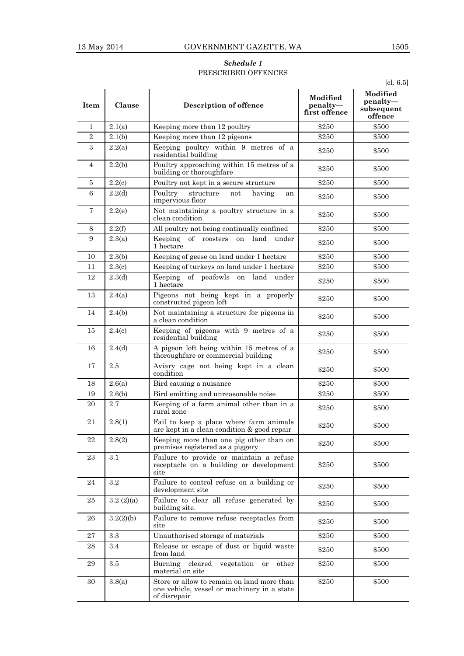# *Schedule 1* PRESCRIBED OFFENCES

| <b>Item</b>    | Clause    | Description of offence                                                                                    | Modified<br>penalty-<br>first offence | Modified<br>penalty-<br>subsequent<br>offence |
|----------------|-----------|-----------------------------------------------------------------------------------------------------------|---------------------------------------|-----------------------------------------------|
| 1              | 2.1(a)    | Keeping more than 12 poultry                                                                              | \$250                                 | \$500                                         |
| $\sqrt{2}$     | 2.1(b)    | Keeping more than 12 pigeons                                                                              | \$250                                 | \$500                                         |
| 3              | 2.2(a)    | Keeping poultry within 9 metres of a<br>residential building                                              | \$250                                 | \$500                                         |
| 4              | 2.2(b)    | Poultry approaching within 15 metres of a<br>building or thoroughfare                                     | \$250                                 | \$500                                         |
| $\bf 5$        | 2.2(c)    | Poultry not kept in a secure structure                                                                    | \$250                                 | \$500                                         |
| 6              | 2.2(d)    | Poultry<br>structure<br>not<br>having<br>an<br>impervious floor                                           | \$250                                 | \$500                                         |
| $\overline{7}$ | 2.2(e)    | Not maintaining a poultry structure in a<br>clean condition                                               | \$250                                 | \$500                                         |
| 8              | 2.2(f)    | All poultry not being continually confined                                                                | \$250                                 | \$500                                         |
| 9              | 2.3(a)    | Keeping of roosters<br>land<br>on<br>under<br>1 hectare                                                   | \$250                                 | \$500                                         |
| 10             | 2.3(b)    | Keeping of geese on land under 1 hectare                                                                  | \$250                                 | \$500                                         |
| 11             | 2.3(c)    | Keeping of turkeys on land under 1 hectare                                                                | \$250                                 | \$500                                         |
| 12             | 2.3(d)    | of peafowls on<br>Keeping<br>land<br>under<br>1 hectare                                                   | \$250                                 | \$500                                         |
| 13             | 2.4(a)    | Pigeons not being kept in a properly<br>constructed pigeon loft                                           | \$250                                 | \$500                                         |
| 14             | 2.4(b)    | Not maintaining a structure for pigeons in<br>a clean condition                                           | \$250                                 | \$500                                         |
| 15             | 2.4(c)    | Keeping of pigeons with 9 metres of a<br>residential building                                             | \$250                                 | \$500                                         |
| 16             | 2.4(d)    | A pigeon loft being within 15 metres of a<br>thoroughfare or commercial building                          | \$250                                 | \$500                                         |
| 17             | 2.5       | Aviary cage not being kept in a clean<br>condition                                                        | \$250                                 | \$500                                         |
| 18             | 2.6(a)    | Bird causing a nuisance                                                                                   | \$250                                 | \$500                                         |
| 19             | 2.6(b)    | Bird emitting and unreasonable noise                                                                      | \$250                                 | \$500                                         |
| 20             | 2.7       | Keeping of a farm animal other than in a<br>rural zone                                                    | \$250                                 | \$500                                         |
| 21             | 2.8(1)    | Fail to keep a place where farm animals<br>are kept in a clean condition & good repair                    | \$250                                 | \$500                                         |
| 22             | 2.8(2)    | Keeping more than one pig other than on<br>premises registered as a piggery                               | \$250                                 | \$500                                         |
| 23             | 3.1       | Failure to provide or maintain a refuse<br>receptacle on a building or development<br>site                | \$250                                 | \$500                                         |
| 24             | $\!3.2\!$ | Failure to control refuse on a building or<br>development site                                            | \$250                                 | \$500                                         |
| 25             | 3.2(2)(a) | Failure to clear all refuse generated by<br>building site.                                                | \$250                                 | \$500                                         |
| 26             | 3.2(2)(b) | Failure to remove refuse receptacles from<br>site                                                         | \$250                                 | \$500                                         |
| 27             | 3.3       | Unauthorised storage of materials                                                                         | \$250                                 | \$500                                         |
| 28             | 3.4       | Release or escape of dust or liquid waste<br>from land                                                    | \$250                                 | \$500                                         |
| 29             | $3.5\,$   | Burning cleared<br>vegetation or<br>other<br>material on site                                             | \$250                                 | \$500                                         |
| 30             | 3.8(a)    | Store or allow to remain on land more than<br>one vehicle, vessel or machinery in a state<br>of disrepair | \$250                                 | \$500                                         |

[cl. 6.5]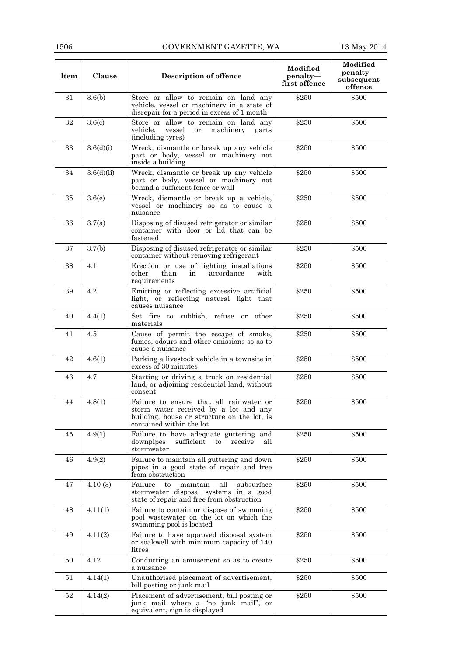| Item | Clause     | Description of offence                                                                                                                                      | Modified<br>penalty-<br>first offence | Modified<br>penalty-<br>subsequent<br>offence |
|------|------------|-------------------------------------------------------------------------------------------------------------------------------------------------------------|---------------------------------------|-----------------------------------------------|
| 31   | 3.6(b)     | Store or allow to remain on land any<br>vehicle, vessel or machinery in a state of<br>disrepair for a period in excess of 1 month                           | \$250                                 | \$500                                         |
| 32   | 3.6(c)     | Store or allow to remain on land any<br>vehicle,<br>vessel<br>machinery<br>or<br>parts<br>(including tyres)                                                 | \$250                                 | \$500                                         |
| 33   | 3.6(d)(i)  | Wreck, dismantle or break up any vehicle<br>part or body, vessel or machinery not<br>inside a building                                                      | \$250                                 | \$500                                         |
| 34   | 3.6(d)(ii) | Wreck, dismantle or break up any vehicle<br>part or body, vessel or machinery not<br>behind a sufficient fence or wall                                      | \$250                                 | \$500                                         |
| 35   | 3.6(e)     | Wreck, dismantle or break up a vehicle,<br>vessel or machinery so as to cause a<br>nuisance                                                                 | \$250                                 | \$500                                         |
| 36   | 3.7(a)     | Disposing of disused refrigerator or similar<br>container with door or lid that can be<br>fastened                                                          | \$250                                 | \$500                                         |
| 37   | 3.7(b)     | Disposing of disused refrigerator or similar<br>container without removing refrigerant                                                                      | \$250                                 | \$500                                         |
| 38   | 4.1        | Erection or use of lighting installations<br>other<br>than<br>accordance<br>with<br>in<br>requirements                                                      | \$250                                 | \$500                                         |
| 39   | 4.2        | Emitting or reflecting excessive artificial<br>light, or reflecting natural light that<br>causes nuisance                                                   | \$250                                 | \$500                                         |
| 40   | 4.4(1)     | Set fire to rubbish, refuse or other<br>materials                                                                                                           | \$250                                 | \$500                                         |
| 41   | 4.5        | Cause of permit the escape of smoke,<br>fumes, odours and other emissions so as to<br>cause a nuisance                                                      | \$250                                 | \$500                                         |
| 42   | 4.6(1)     | Parking a livestock vehicle in a townsite in<br>excess of 30 minutes                                                                                        | \$250                                 | \$500                                         |
| 43   | 4.7        | Starting or driving a truck on residential<br>land, or adjoining residential land, without<br>consent                                                       | \$250                                 | \$500                                         |
| 44   | 4.8(1)     | Failure to ensure that all rainwater or<br>storm water received by a lot and any<br>building, house or structure on the lot, is<br>contained within the lot | \$250                                 | \$500                                         |
| 45   | 4.9(1)     | Failure to have adequate guttering and<br>sufficient<br>downpipes<br>receive<br>to<br>all<br>stormwater                                                     | \$250                                 | \$500                                         |
| 46   | 4.9(2)     | Failure to maintain all guttering and down<br>pipes in a good state of repair and free<br>from obstruction                                                  | \$250                                 | \$500                                         |
| 47   | 4.10(3)    | Failure<br>all<br>subsurface<br>maintain<br>to<br>stormwater disposal systems in a good<br>state of repair and free from obstruction                        | \$250                                 | \$500                                         |
| 48   | 4.11(1)    | Failure to contain or dispose of swimming<br>pool wastewater on the lot on which the<br>swimming pool is located                                            | \$250                                 | \$500                                         |
| 49   | 4.11(2)    | Failure to have approved disposal system<br>or soakwell with minimum capacity of 140<br>litres                                                              | \$250                                 | \$500                                         |
| 50   | 4.12       | Conducting an amusement so as to create<br>a nuisance                                                                                                       | \$250                                 | \$500                                         |
| 51   | 4.14(1)    | Unauthorised placement of advertisement,<br>bill posting or junk mail                                                                                       | \$250                                 | \$500                                         |
| 52   | 4.14(2)    | Placement of advertisement, bill posting or<br>junk mail where a "no junk mail", or<br>equivalent, sign is displayed                                        | \$250                                 | \$500                                         |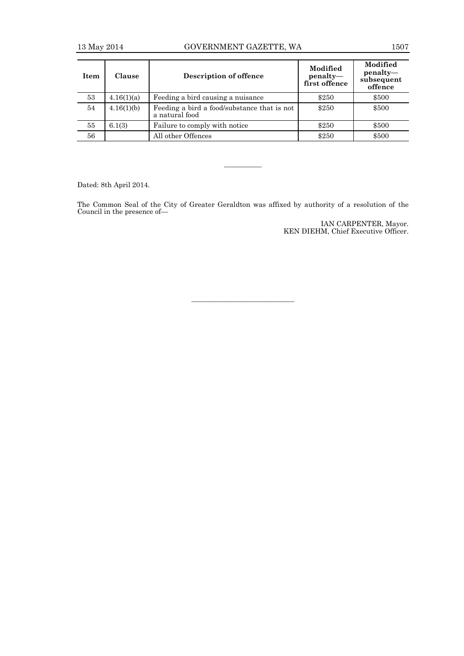| <b>Item</b> | <b>Clause</b> | Description of offence                                        | Modified<br>penalty-<br>first offence | Modified<br>$penalty$ —<br>subsequent<br>offence |
|-------------|---------------|---------------------------------------------------------------|---------------------------------------|--------------------------------------------------|
| 53          | 4.16(1)(a)    | Feeding a bird causing a nuisance                             | \$250                                 | \$500                                            |
| 54          | 4.16(1)(b)    | Feeding a bird a food/substance that is not<br>a natural food | \$250                                 | \$500                                            |
| 55          | 6.1(3)        | Failure to comply with notice                                 | \$250                                 | \$500                                            |
| 56          |               | All other Offences                                            | \$250                                 | \$500                                            |

Dated: 8th April 2014.

The Common Seal of the City of Greater Geraldton was affixed by authority of a resolution of the Council in the presence of—

————

IAN CARPENTER, Mayor. KEN DIEHM, Chief Executive Officer.

———————————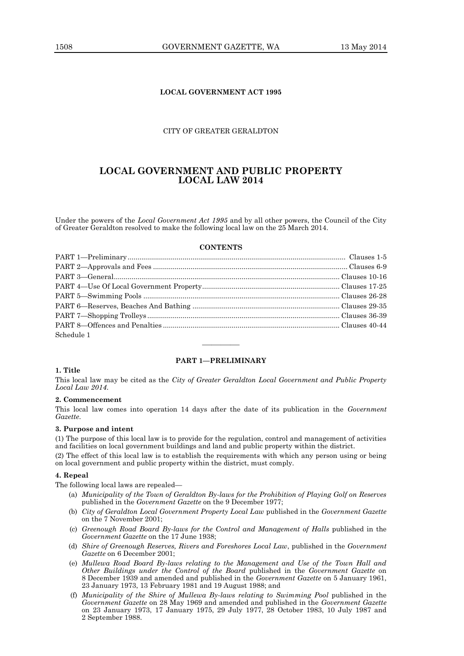# **LOCAL GOVERNMENT ACT 1995**

# CITY OF GREATER GERALDTON

# **LOCAL GOVERNMENT AND PUBLIC PROPERTY LOCAL LAW 2014**

Under the powers of the *Local Government Act 1995* and by all other powers, the Council of the City of Greater Geraldton resolved to make the following local law on the 25 March 2014.

#### **CONTENTS**

| Schedule 1 |  |
|------------|--|

#### **PART 1—PRELIMINARY**

————

# **1. Title**

This local law may be cited as the *City of Greater Geraldton Local Government and Public Property Local Law 2014*.

#### **2. Commencement**

This local law comes into operation 14 days after the date of its publication in the *Government Gazette*.

#### **3. Purpose and intent**

(1) The purpose of this local law is to provide for the regulation, control and management of activities and facilities on local government buildings and land and public property within the district.

(2) The effect of this local law is to establish the requirements with which any person using or being on local government and public property within the district, must comply.

#### **4. Repeal**

The following local laws are repealed—

- (a) *Municipality of the Town of Geraldton By-laws for the Prohibition of Playing Golf on Reserves*  published in the *Government Gazette* on the 9 December 1977;
- (b) *City of Geraldton Local Government Property Local Law* published in the *Government Gazette* on the 7 November 2001;
- (c) *Greenough Road Board By-laws for the Control and Management of Halls* published in the *Government Gazette* on the 17 June 1938;
- (d) *Shire of Greenough Reserves, Rivers and Foreshores Local Law*, published in the *Government Gazette* on 6 December 2001;
- (e) *Mullewa Road Board By-laws relating to the Management and Use of the Town Hall and Other Buildings under the Control of the Board* published in the *Government Gazette* on 8 December 1939 and amended and published in the *Government Gazette* on 5 January 1961, 23 January 1973, 13 February 1981 and 19 August 1988; and
- (f) *Municipality of the Shire of Mullewa By-laws relating to Swimming Pool* published in the *Government Gazette* on 28 May 1969 and amended and published in the *Government Gazette* on 23 January 1973, 17 January 1975, 29 July 1977, 28 October 1983, 10 July 1987 and 2 September 1988.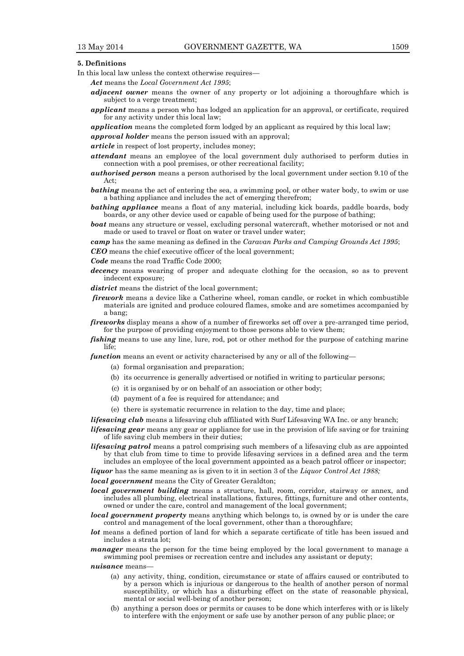#### **5. Definitions**

In this local law unless the context otherwise requires—

*Act* means the *Local Government Act 1995*;

- *adjacent owner* means the owner of any property or lot adjoining a thoroughfare which is subject to a verge treatment;
- *applicant* means a person who has lodged an application for an approval, or certificate, required for any activity under this local law;

*application* means the completed form lodged by an applicant as required by this local law;

*approval holder* means the person issued with an approval;

*article* in respect of lost property, includes money;

- *attendant* means an employee of the local government duly authorised to perform duties in connection with a pool premises, or other recreational facility;
- *authorised person* means a person authorised by the local government under section 9.10 of the Act;
- *bathing* means the act of entering the sea, a swimming pool, or other water body, to swim or use a bathing appliance and includes the act of emerging therefrom;
- **bathing appliance** means a float of any material, including kick boards, paddle boards, body boards, or any other device used or capable of being used for the purpose of bathing;
- *boat* means any structure or vessel, excluding personal watercraft, whether motorised or not and made or used to travel or float on water or travel under water;

*camp* has the same meaning as defined in the *Caravan Parks and Camping Grounds Act 1995*;

*CEO* means the chief executive officer of the local government;

*Code* means the road Traffic Code 2000;

*decency* means wearing of proper and adequate clothing for the occasion, so as to prevent indecent exposure;

*district* means the district of the local government;

- *firework* means a device like a Catherine wheel, roman candle, or rocket in which combustible materials are ignited and produce coloured flames, smoke and are sometimes accompanied by a bang;
- *fireworks* display means a show of a number of fireworks set off over a pre-arranged time period, for the purpose of providing enjoyment to those persons able to view them;

*fishing* means to use any line, lure, rod, pot or other method for the purpose of catching marine life;

*function* means an event or activity characterised by any or all of the following—

- (a) formal organisation and preparation;
- (b) its occurrence is generally advertised or notified in writing to particular persons;
- (c) it is organised by or on behalf of an association or other body;
- (d) payment of a fee is required for attendance; and
- (e) there is systematic recurrence in relation to the day, time and place;

*lifesaving club* means a lifesaving club affiliated with Surf Lifesaving WA Inc. or any branch;

*lifesaving gear* means any gear or appliance for use in the provision of life saving or for training of life saving club members in their duties;

*lifesaving patrol* means a patrol comprising such members of a lifesaving club as are appointed by that club from time to time to provide lifesaving services in a defined area and the term includes an employee of the local government appointed as a beach patrol officer or inspector;

*liquor* has the same meaning as is given to it in section 3 of the *Liquor Control Act 1988;*

*local government* means the City of Greater Geraldton;

- *local government building* means a structure, hall, room, corridor, stairway or annex, and includes all plumbing, electrical installations, fixtures, fittings, furniture and other contents, owned or under the care, control and management of the local government;
- *local government property* means anything which belongs to, is owned by or is under the care control and management of the local government, other than a thoroughfare;
- *lot* means a defined portion of land for which a separate certificate of title has been issued and includes a strata lot;
- *manager* means the person for the time being employed by the local government to manage a swimming pool premises or recreation centre and includes any assistant or deputy;

*nuisance* means—

- (a) any activity, thing, condition, circumstance or state of affairs caused or contributed to by a person which is injurious or dangerous to the health of another person of normal susceptibility, or which has a disturbing effect on the state of reasonable physical, mental or social well-being of another person;
- (b) anything a person does or permits or causes to be done which interferes with or is likely to interfere with the enjoyment or safe use by another person of any public place; or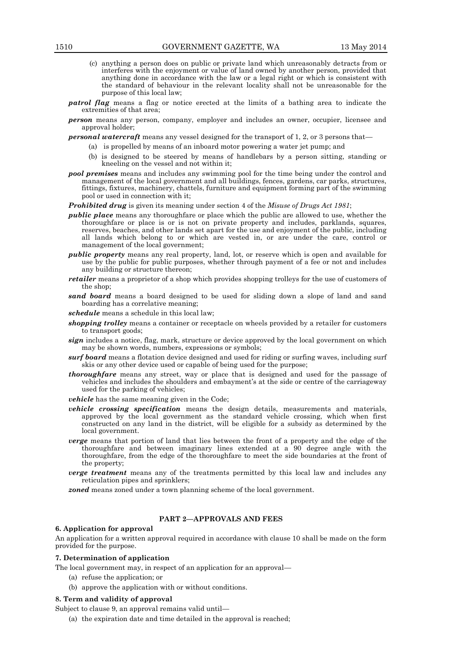- (c) anything a person does on public or private land which unreasonably detracts from or interferes with the enjoyment or value of land owned by another person, provided that anything done in accordance with the law or a legal right or which is consistent with the standard of behaviour in the relevant locality shall not be unreasonable for the purpose of this local law;
- *patrol flag* means a flag or notice erected at the limits of a bathing area to indicate the extremities of that area;
- *person* means any person, company, employer and includes an owner, occupier, licensee and approval holder;
- *personal watercraft* means any vessel designed for the transport of 1, 2, or 3 persons that—
	- (a) is propelled by means of an inboard motor powering a water jet pump; and
	- (b) is designed to be steered by means of handlebars by a person sitting, standing or kneeling on the vessel and not within it;
- *pool premises* means and includes any swimming pool for the time being under the control and management of the local government and all buildings, fences, gardens, car parks, structures, fittings, fixtures, machinery, chattels, furniture and equipment forming part of the swimming pool or used in connection with it;
- *Prohibited drug* is given its meaning under section 4 of the *Misuse of Drugs Act 1981*;
- *public place* means any thoroughfare or place which the public are allowed to use, whether the thoroughfare or place is or is not on private property and includes, parklands, squares, reserves, beaches, and other lands set apart for the use and enjoyment of the public, including all lands which belong to or which are vested in, or are under the care, control or management of the local government;
- *public property* means any real property, land, lot, or reserve which is open and available for use by the public for public purposes, whether through payment of a fee or not and includes any building or structure thereon;
- *retailer* means a proprietor of a shop which provides shopping trolleys for the use of customers of the shop;
- *sand board* means a board designed to be used for sliding down a slope of land and sand boarding has a correlative meaning;
- *schedule* means a schedule in this local law;
- *shopping trolley* means a container or receptacle on wheels provided by a retailer for customers to transport goods;
- *sign* includes a notice, flag, mark, structure or device approved by the local government on which may be shown words, numbers, expressions or symbols;
- *surf board* means a flotation device designed and used for riding or surfing waves, including surf skis or any other device used or capable of being used for the purpose;
- *thoroughfare* means any street, way or place that is designed and used for the passage of vehicles and includes the shoulders and embayment's at the side or centre of the carriageway used for the parking of vehicles;
- *vehicle* has the same meaning given in the Code;
- *vehicle crossing specification* means the design details, measurements and materials, approved by the local government as the standard vehicle crossing, which when first constructed on any land in the district, will be eligible for a subsidy as determined by the local government.
- *verge* means that portion of land that lies between the front of a property and the edge of the thoroughfare and between imaginary lines extended at a 90 degree angle with the thoroughfare, from the edge of the thoroughfare to meet the side boundaries at the front of the property;
- *verge treatment* means any of the treatments permitted by this local law and includes any reticulation pipes and sprinklers;

*zoned* means zoned under a town planning scheme of the local government.

# **PART 2—APPROVALS AND FEES**

#### **6. Application for approval**

An application for a written approval required in accordance with clause 10 shall be made on the form provided for the purpose.

#### **7. Determination of application**

The local government may, in respect of an application for an approval—

- (a) refuse the application; or
- (b) approve the application with or without conditions.

#### **8. Term and validity of approval**

Subject to clause 9, an approval remains valid until—

(a) the expiration date and time detailed in the approval is reached;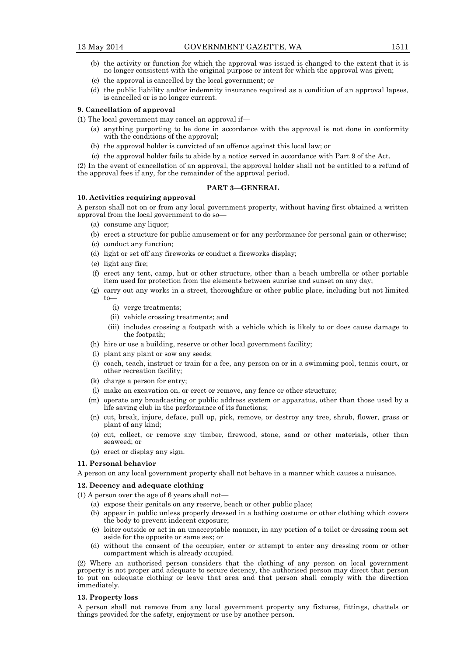- (b) the activity or function for which the approval was issued is changed to the extent that it is no longer consistent with the original purpose or intent for which the approval was given;
- (c) the approval is cancelled by the local government; or
- (d) the public liability and/or indemnity insurance required as a condition of an approval lapses, is cancelled or is no longer current.

#### **9. Cancellation of approval**

(1) The local government may cancel an approval if—

- (a) anything purporting to be done in accordance with the approval is not done in conformity with the conditions of the approval;
- (b) the approval holder is convicted of an offence against this local law; or
- (c) the approval holder fails to abide by a notice served in accordance with Part 9 of the Act.

(2) In the event of cancellation of an approval, the approval holder shall not be entitled to a refund of the approval fees if any, for the remainder of the approval period.

# **PART 3—GENERAL**

# **10. Activities requiring approval**

A person shall not on or from any local government property, without having first obtained a written approval from the local government to do so—

- (a) consume any liquor;
- (b) erect a structure for public amusement or for any performance for personal gain or otherwise;
- (c) conduct any function;
- (d) light or set off any fireworks or conduct a fireworks display;
- (e) light any fire;
- (f) erect any tent, camp, hut or other structure, other than a beach umbrella or other portable item used for protection from the elements between sunrise and sunset on any day;
- (g) carry out any works in a street, thoroughfare or other public place, including but not limited to—
	- (i) verge treatments;
	- (ii) vehicle crossing treatments; and
	- (iii) includes crossing a footpath with a vehicle which is likely to or does cause damage to the footpath;
- (h) hire or use a building, reserve or other local government facility;
- (i) plant any plant or sow any seeds;
- (j) coach, teach, instruct or train for a fee, any person on or in a swimming pool, tennis court, or other recreation facility;
- (k) charge a person for entry;
- (l) make an excavation on, or erect or remove, any fence or other structure;
- (m) operate any broadcasting or public address system or apparatus, other than those used by a life saving club in the performance of its functions;
- (n) cut, break, injure, deface, pull up, pick, remove, or destroy any tree, shrub, flower, grass or plant of any kind;
- (o) cut, collect, or remove any timber, firewood, stone, sand or other materials, other than seaweed; or
- (p) erect or display any sign.

#### **11. Personal behavior**

A person on any local government property shall not behave in a manner which causes a nuisance.

#### **12. Decency and adequate clothing**

(1) A person over the age of 6 years shall not—

- (a) expose their genitals on any reserve, beach or other public place;
- (b) appear in public unless properly dressed in a bathing costume or other clothing which covers the body to prevent indecent exposure;
- (c) loiter outside or act in an unacceptable manner, in any portion of a toilet or dressing room set aside for the opposite or same sex; or
- (d) without the consent of the occupier, enter or attempt to enter any dressing room or other compartment which is already occupied.

(2) Where an authorised person considers that the clothing of any person on local government property is not proper and adequate to secure decency, the authorised person may direct that person to put on adequate clothing or leave that area and that person shall comply with the direction immediately.

#### **13. Property loss**

A person shall not remove from any local government property any fixtures, fittings, chattels or things provided for the safety, enjoyment or use by another person.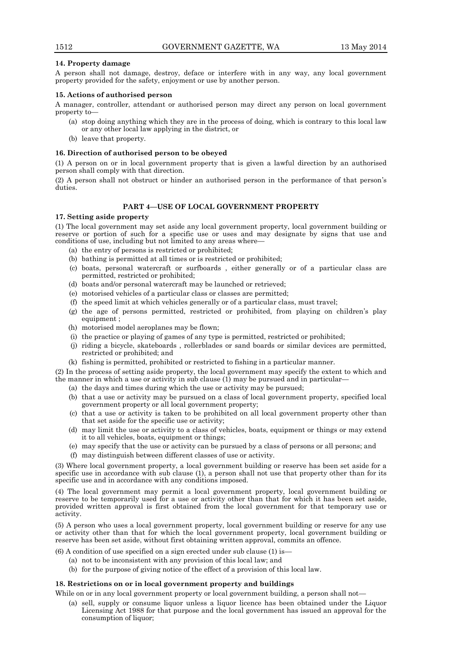# **14. Property damage**

A person shall not damage, destroy, deface or interfere with in any way, any local government property provided for the safety, enjoyment or use by another person.

# **15. Actions of authorised person**

A manager, controller, attendant or authorised person may direct any person on local government property to—

- (a) stop doing anything which they are in the process of doing, which is contrary to this local law or any other local law applying in the district, or
- (b) leave that property.

#### **16. Direction of authorised person to be obeyed**

(1) A person on or in local government property that is given a lawful direction by an authorised person shall comply with that direction.

(2) A person shall not obstruct or hinder an authorised person in the performance of that person's duties.

# **PART 4—USE OF LOCAL GOVERNMENT PROPERTY**

# **17. Setting aside property**

(1) The local government may set aside any local government property, local government building or reserve or portion of such for a specific use or uses and may designate by signs that use and conditions of use, including but not limited to any areas where—

- (a) the entry of persons is restricted or prohibited;
- (b) bathing is permitted at all times or is restricted or prohibited;
- (c) boats, personal watercraft or surfboards , either generally or of a particular class are permitted, restricted or prohibited;
- (d) boats and/or personal watercraft may be launched or retrieved;
- (e) motorised vehicles of a particular class or classes are permitted;
- (f) the speed limit at which vehicles generally or of a particular class, must travel;
- (g) the age of persons permitted, restricted or prohibited, from playing on children's play equipment ;
- (h) motorised model aeroplanes may be flown;
- (i) the practice or playing of games of any type is permitted, restricted or prohibited;
- (j) riding a bicycle, skateboards , rollerblades or sand boards or similar devices are permitted, restricted or prohibited; and
- (k) fishing is permitted, prohibited or restricted to fishing in a particular manner.

(2) In the process of setting aside property, the local government may specify the extent to which and the manner in which a use or activity in sub clause (1) may be pursued and in particular—

- (a) the days and times during which the use or activity may be pursued;
- (b) that a use or activity may be pursued on a class of local government property, specified local government property or all local government property;
- (c) that a use or activity is taken to be prohibited on all local government property other than that set aside for the specific use or activity;
- (d) may limit the use or activity to a class of vehicles, boats, equipment or things or may extend it to all vehicles, boats, equipment or things;
- (e) may specify that the use or activity can be pursued by a class of persons or all persons; and
- (f) may distinguish between different classes of use or activity.

(3) Where local government property, a local government building or reserve has been set aside for a specific use in accordance with sub clause (1), a person shall not use that property other than for its specific use and in accordance with any conditions imposed.

(4) The local government may permit a local government property, local government building or reserve to be temporarily used for a use or activity other than that for which it has been set aside, provided written approval is first obtained from the local government for that temporary use or activity.

(5) A person who uses a local government property, local government building or reserve for any use or activity other than that for which the local government property, local government building or reserve has been set aside, without first obtaining written approval, commits an offence.

 $(6)$  A condition of use specified on a sign erected under sub clause  $(1)$  is-

- (a) not to be inconsistent with any provision of this local law; and
- (b) for the purpose of giving notice of the effect of a provision of this local law.

# **18. Restrictions on or in local government property and buildings**

While on or in any local government property or local government building, a person shall not-

(a) sell, supply or consume liquor unless a liquor licence has been obtained under the Liquor Licensing Act 1988 for that purpose and the local government has issued an approval for the consumption of liquor;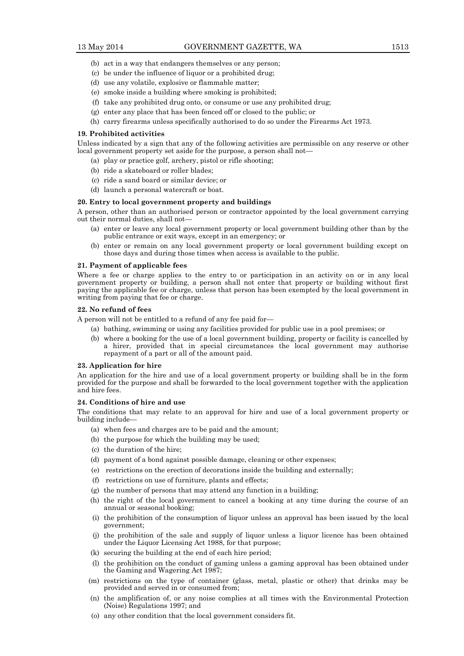- (b) act in a way that endangers themselves or any person;
- (c) be under the influence of liquor or a prohibited drug;
- (d) use any volatile, explosive or flammable matter;
- (e) smoke inside a building where smoking is prohibited;
- (f) take any prohibited drug onto, or consume or use any prohibited drug;
- (g) enter any place that has been fenced off or closed to the public; or
- (h) carry firearms unless specifically authorised to do so under the Firearms Act 1973.

#### **19. Prohibited activities**

Unless indicated by a sign that any of the following activities are permissible on any reserve or other local government property set aside for the purpose, a person shall not—

- (a) play or practice golf, archery, pistol or rifle shooting;
- (b) ride a skateboard or roller blades;
- (c) ride a sand board or similar device; or
- (d) launch a personal watercraft or boat.

#### **20. Entry to local government property and buildings**

A person, other than an authorised person or contractor appointed by the local government carrying out their normal duties, shall not—

- (a) enter or leave any local government property or local government building other than by the public entrance or exit ways, except in an emergency; or
- (b) enter or remain on any local government property or local government building except on those days and during those times when access is available to the public.

#### **21. Payment of applicable fees**

Where a fee or charge applies to the entry to or participation in an activity on or in any local government property or building, a person shall not enter that property or building without first paying the applicable fee or charge, unless that person has been exempted by the local government in writing from paying that fee or charge.

#### **22. No refund of fees**

A person will not be entitled to a refund of any fee paid for—

- (a) bathing, swimming or using any facilities provided for public use in a pool premises; or
- (b) where a booking for the use of a local government building, property or facility is cancelled by a hirer, provided that in special circumstances the local government may authorise repayment of a part or all of the amount paid.

#### **23. Application for hire**

An application for the hire and use of a local government property or building shall be in the form provided for the purpose and shall be forwarded to the local government together with the application and hire fees.

#### **24. Conditions of hire and use**

The conditions that may relate to an approval for hire and use of a local government property or building include—

- (a) when fees and charges are to be paid and the amount;
- (b) the purpose for which the building may be used;
- (c) the duration of the hire;
- (d) payment of a bond against possible damage, cleaning or other expenses;
- (e) restrictions on the erection of decorations inside the building and externally;
- (f) restrictions on use of furniture, plants and effects;
- (g) the number of persons that may attend any function in a building;
- (h) the right of the local government to cancel a booking at any time during the course of an annual or seasonal booking;
- (i) the prohibition of the consumption of liquor unless an approval has been issued by the local government;
- (j) the prohibition of the sale and supply of liquor unless a liquor licence has been obtained under the Liquor Licensing Act 1988, for that purpose;
- (k) securing the building at the end of each hire period;
- (l) the prohibition on the conduct of gaming unless a gaming approval has been obtained under the Gaming and Wagering Act 1987;
- (m) restrictions on the type of container (glass, metal, plastic or other) that drinks may be provided and served in or consumed from;
- (n) the amplification of, or any noise complies at all times with the Environmental Protection (Noise) Regulations 1997; and
- (o) any other condition that the local government considers fit.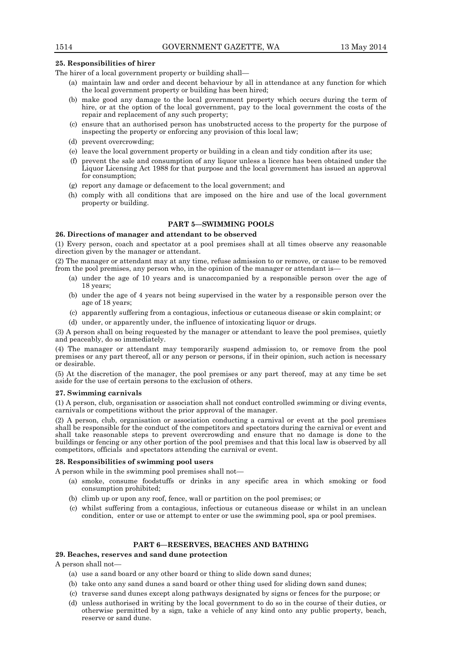#### **25. Responsibilities of hirer**

The hirer of a local government property or building shall—

- (a) maintain law and order and decent behaviour by all in attendance at any function for which the local government property or building has been hired;
- (b) make good any damage to the local government property which occurs during the term of hire, or at the option of the local government, pay to the local government the costs of the repair and replacement of any such property;
- (c) ensure that an authorised person has unobstructed access to the property for the purpose of inspecting the property or enforcing any provision of this local law;
- (d) prevent overcrowding;
- (e) leave the local government property or building in a clean and tidy condition after its use;
- (f) prevent the sale and consumption of any liquor unless a licence has been obtained under the Liquor Licensing Act 1988 for that purpose and the local government has issued an approval for consumption;
- (g) report any damage or defacement to the local government; and
- (h) comply with all conditions that are imposed on the hire and use of the local government property or building.

#### **PART 5—SWIMMING POOLS**

#### **26. Directions of manager and attendant to be observed**

(1) Every person, coach and spectator at a pool premises shall at all times observe any reasonable direction given by the manager or attendant.

(2) The manager or attendant may at any time, refuse admission to or remove, or cause to be removed from the pool premises, any person who, in the opinion of the manager or attendant is—

- (a) under the age of 10 years and is unaccompanied by a responsible person over the age of 18 years;
- (b) under the age of 4 years not being supervised in the water by a responsible person over the age of 18 years;
- (c) apparently suffering from a contagious, infectious or cutaneous disease or skin complaint; or
- (d) under, or apparently under, the influence of intoxicating liquor or drugs.

(3) A person shall on being requested by the manager or attendant to leave the pool premises, quietly and peaceably, do so immediately.

(4) The manager or attendant may temporarily suspend admission to, or remove from the pool premises or any part thereof, all or any person or persons, if in their opinion, such action is necessary or desirable.

(5) At the discretion of the manager, the pool premises or any part thereof, may at any time be set aside for the use of certain persons to the exclusion of others.

#### **27. Swimming carnivals**

(1) A person, club, organisation or association shall not conduct controlled swimming or diving events, carnivals or competitions without the prior approval of the manager.

(2) A person, club, organisation or association conducting a carnival or event at the pool premises shall be responsible for the conduct of the competitors and spectators during the carnival or event and shall take reasonable steps to prevent overcrowding and ensure that no damage is done to the buildings or fencing or any other portion of the pool premises and that this local law is observed by all competitors, officials and spectators attending the carnival or event.

#### **28. Responsibilities of swimming pool users**

A person while in the swimming pool premises shall not—

- (a) smoke, consume foodstuffs or drinks in any specific area in which smoking or food consumption prohibited;
- (b) climb up or upon any roof, fence, wall or partition on the pool premises; or
- (c) whilst suffering from a contagious, infectious or cutaneous disease or whilst in an unclean condition, enter or use or attempt to enter or use the swimming pool, spa or pool premises.

## **PART 6—RESERVES, BEACHES AND BATHING**

# **29. Beaches, reserves and sand dune protection**

A person shall not—

- (a) use a sand board or any other board or thing to slide down sand dunes;
- (b) take onto any sand dunes a sand board or other thing used for sliding down sand dunes;
- (c) traverse sand dunes except along pathways designated by signs or fences for the purpose; or
- (d) unless authorised in writing by the local government to do so in the course of their duties, or otherwise permitted by a sign, take a vehicle of any kind onto any public property, beach, reserve or sand dune.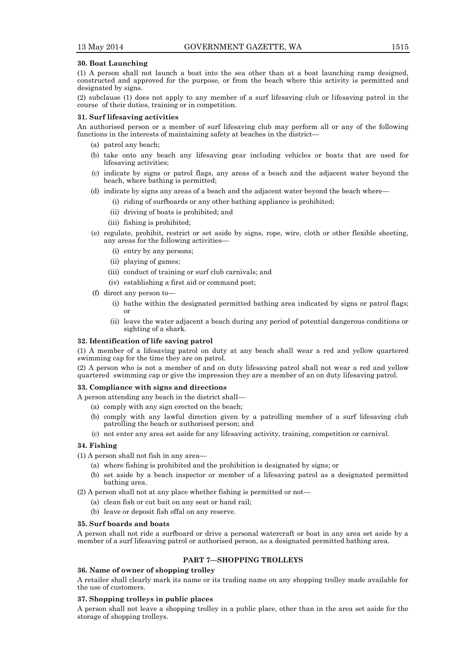#### **30. Boat Launching**

(1) A person shall not launch a boat into the sea other than at a boat launching ramp designed, constructed and approved for the purpose, or from the beach where this activity is permitted and designated by signs.

(2) subclause (1) does not apply to any member of a surf lifesaving club or lifesaving patrol in the course of their duties, training or in competition.

#### **31. Surf lifesaving activities**

An authorised person or a member of surf lifesaving club may perform all or any of the following functions in the interests of maintaining safety at beaches in the district—

- (a) patrol any beach;
- (b) take onto any beach any lifesaving gear including vehicles or boats that are used for lifesaving activities;
- (c) indicate by signs or patrol flags, any areas of a beach and the adjacent water beyond the beach, where bathing is permitted;
- (d) indicate by signs any areas of a beach and the adjacent water beyond the beach where—
	- (i) riding of surfboards or any other bathing appliance is prohibited;
		- (ii) driving of boats is prohibited; and
	- (iii) fishing is prohibited;
- (e) regulate, prohibit, restrict or set aside by signs, rope, wire, cloth or other flexible sheeting, any areas for the following activities—
	- (i) entry by any persons;
	- (ii) playing of games;
	- (iii) conduct of training or surf club carnivals; and
	- (iv) establishing a first aid or command post;
- (f) direct any person to—
	- (i) bathe within the designated permitted bathing area indicated by signs or patrol flags; or
	- (ii) leave the water adjacent a beach during any period of potential dangerous conditions or sighting of a shark.

#### **32. Identification of life saving patrol**

(1) A member of a lifesaving patrol on duty at any beach shall wear a red and yellow quartered swimming cap for the time they are on patrol.

(2) A person who is not a member of and on duty lifesaving patrol shall not wear a red and yellow quartered swimming cap or give the impression they are a member of an on duty lifesaving patrol.

# **33. Compliance with signs and directions**

A person attending any beach in the district shall—

- (a) comply with any sign erected on the beach;
- (b) comply with any lawful direction given by a patrolling member of a surf lifesaving club patrolling the beach or authorised person; and
- (c) not enter any area set aside for any lifesaving activity, training, competition or carnival.

#### **34. Fishing**

- (1) A person shall not fish in any area—
	- (a) where fishing is prohibited and the prohibition is designated by signs; or
	- (b) set aside by a beach inspector or member of a lifesaving patrol as a designated permitted bathing area.
- (2) A person shall not at any place whether fishing is permitted or not—
	- (a) clean fish or cut bait on any seat or hand rail;
	- (b) leave or deposit fish offal on any reserve.

#### **35. Surf boards and boats**

A person shall not ride a surfboard or drive a personal watercraft or boat in any area set aside by a member of a surf lifesaving patrol or authorised person, as a designated permitted bathing area.

# **PART 7—SHOPPING TROLLEYS**

#### **36. Name of owner of shopping trolley**

A retailer shall clearly mark its name or its trading name on any shopping trolley made available for the use of customers.

# **37. Shopping trolleys in public places**

A person shall not leave a shopping trolley in a public place, other than in the area set aside for the storage of shopping trolleys.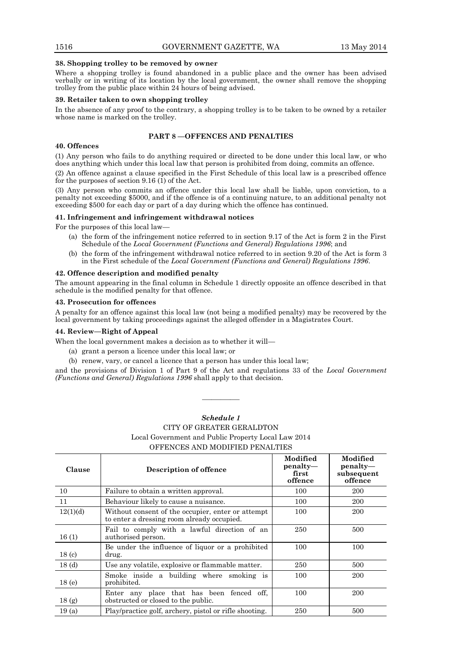#### **38. Shopping trolley to be removed by owner**

Where a shopping trolley is found abandoned in a public place and the owner has been advised verbally or in writing of its location by the local government, the owner shall remove the shopping trolley from the public place within 24 hours of being advised.

#### **39. Retailer taken to own shopping trolley**

In the absence of any proof to the contrary, a shopping trolley is to be taken to be owned by a retailer whose name is marked on the trolley.

#### **PART 8 —OFFENCES AND PENALTIES**

#### **40. Offences**

(1) Any person who fails to do anything required or directed to be done under this local law, or who does anything which under this local law that person is prohibited from doing, commits an offence.

(2) An offence against a clause specified in the First Schedule of this local law is a prescribed offence for the purposes of section 9.16 (1) of the Act.

(3) Any person who commits an offence under this local law shall be liable, upon conviction, to a penalty not exceeding \$5000, and if the offence is of a continuing nature, to an additional penalty not exceeding \$500 for each day or part of a day during which the offence has continued.

# **41. Infringement and infringement withdrawal notices**

For the purposes of this local law—

- (a) the form of the infringement notice referred to in section 9.17 of the Act is form 2 in the First Schedule of the *Local Government (Functions and General) Regulations 1996*; and
- (b) the form of the infringement withdrawal notice referred to in section 9.20 of the Act is form 3 in the First schedule of the *Local Government (Functions and General) Regulations 1996*.

# **42. Offence description and modified penalty**

The amount appearing in the final column in Schedule 1 directly opposite an offence described in that schedule is the modified penalty for that offence.

#### **43. Prosecution for offences**

A penalty for an offence against this local law (not being a modified penalty) may be recovered by the local government by taking proceedings against the alleged offender in a Magistrates Court.

#### **44. Review—Right of Appeal**

When the local government makes a decision as to whether it will—

- (a) grant a person a licence under this local law; or
- (b) renew, vary, or cancel a licence that a person has under this local law;

and the provisions of Division 1 of Part 9 of the Act and regulations 33 of the *Local Government (Functions and General) Regulations 1996* shall apply to that decision.

————

| CITY OF GREATER GERALDTON<br>Local Government and Public Property Local Law 2014<br>OFFENCES AND MODIFIED PENALTIES |                                                                                                 |                                          |                                               |
|---------------------------------------------------------------------------------------------------------------------|-------------------------------------------------------------------------------------------------|------------------------------------------|-----------------------------------------------|
| Clause                                                                                                              | Description of offence                                                                          | Modified<br>penalty—<br>first<br>offence | Modified<br>penalty—<br>subsequent<br>offence |
| 10                                                                                                                  | Failure to obtain a written approval.                                                           | 100                                      | 200                                           |
| 11                                                                                                                  | Behaviour likely to cause a nuisance.                                                           | 100                                      | 200                                           |
| 12(1)(d)                                                                                                            | Without consent of the occupier, enter or attempt<br>to enter a dressing room already occupied. | 100                                      | 200                                           |
| 16(1)                                                                                                               | Fail to comply with a lawful direction of an<br>authorised person.                              | 250                                      | 500                                           |
| 18 <sub>(c)</sub>                                                                                                   | Be under the influence of liquor or a prohibited<br>drug.                                       | 100                                      | 100                                           |
| 18 <sub>(d)</sub>                                                                                                   | Use any volatile, explosive or flammable matter.                                                | 250                                      | 500                                           |
| 18 <sub>(e)</sub>                                                                                                   | Smoke inside a building where smoking is<br>prohibited.                                         | 100                                      | 200                                           |
| 18 <sub>(g)</sub>                                                                                                   | Enter any place that has been fenced off,<br>obstructed or closed to the public.                | 100                                      | 200                                           |
| 19(a)                                                                                                               | Play/practice golf, archery, pistol or rifle shooting.                                          | 250                                      | 500                                           |

# *Schedule 1*

# CITY OF GREATER GERALDTON